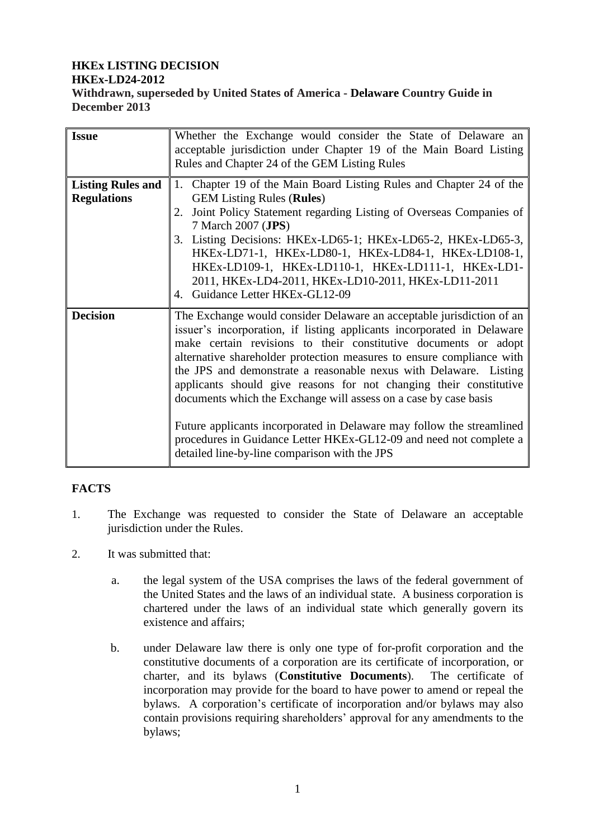#### **HKEx LISTING DECISION HKEx-LD24-2012 Withdrawn, superseded by United States of America - Delaware Country Guide in December 2013**

| <b>Issue</b>                                   | Whether the Exchange would consider the State of Delaware an<br>acceptable jurisdiction under Chapter 19 of the Main Board Listing<br>Rules and Chapter 24 of the GEM Listing Rules                                                                                                                                                                                                                                                                                                                                                                                                                                                                                                                        |  |
|------------------------------------------------|------------------------------------------------------------------------------------------------------------------------------------------------------------------------------------------------------------------------------------------------------------------------------------------------------------------------------------------------------------------------------------------------------------------------------------------------------------------------------------------------------------------------------------------------------------------------------------------------------------------------------------------------------------------------------------------------------------|--|
| <b>Listing Rules and</b><br><b>Regulations</b> | Chapter 19 of the Main Board Listing Rules and Chapter 24 of the<br>1.<br><b>GEM Listing Rules (Rules)</b><br>Joint Policy Statement regarding Listing of Overseas Companies of<br>7 March 2007 (JPS)<br>3. Listing Decisions: HKEx-LD65-1; HKEx-LD65-2, HKEx-LD65-3,<br>HKEx-LD71-1, HKEx-LD80-1, HKEx-LD84-1, HKEx-LD108-1,<br>HKEx-LD109-1, HKEx-LD110-1, HKEx-LD111-1, HKEx-LD1-<br>2011, HKEx-LD4-2011, HKEx-LD10-2011, HKEx-LD11-2011<br>Guidance Letter HKEx-GL12-09<br>4.                                                                                                                                                                                                                          |  |
| <b>Decision</b>                                | The Exchange would consider Delaware an acceptable jurisdiction of an<br>issuer's incorporation, if listing applicants incorporated in Delaware<br>make certain revisions to their constitutive documents or adopt<br>alternative shareholder protection measures to ensure compliance with<br>the JPS and demonstrate a reasonable nexus with Delaware. Listing<br>applicants should give reasons for not changing their constitutive<br>documents which the Exchange will assess on a case by case basis<br>Future applicants incorporated in Delaware may follow the streamlined<br>procedures in Guidance Letter HKEx-GL12-09 and need not complete a<br>detailed line-by-line comparison with the JPS |  |

# **FACTS**

- 1. The Exchange was requested to consider the State of Delaware an acceptable jurisdiction under the Rules.
- 2. It was submitted that:
	- a. the legal system of the USA comprises the laws of the federal government of the United States and the laws of an individual state. A business corporation is chartered under the laws of an individual state which generally govern its existence and affairs;
	- b. under Delaware law there is only one type of for-profit corporation and the constitutive documents of a corporation are its certificate of incorporation, or charter, and its bylaws (**Constitutive Documents**). The certificate of incorporation may provide for the board to have power to amend or repeal the bylaws. A corporation's certificate of incorporation and/or bylaws may also contain provisions requiring shareholders' approval for any amendments to the bylaws;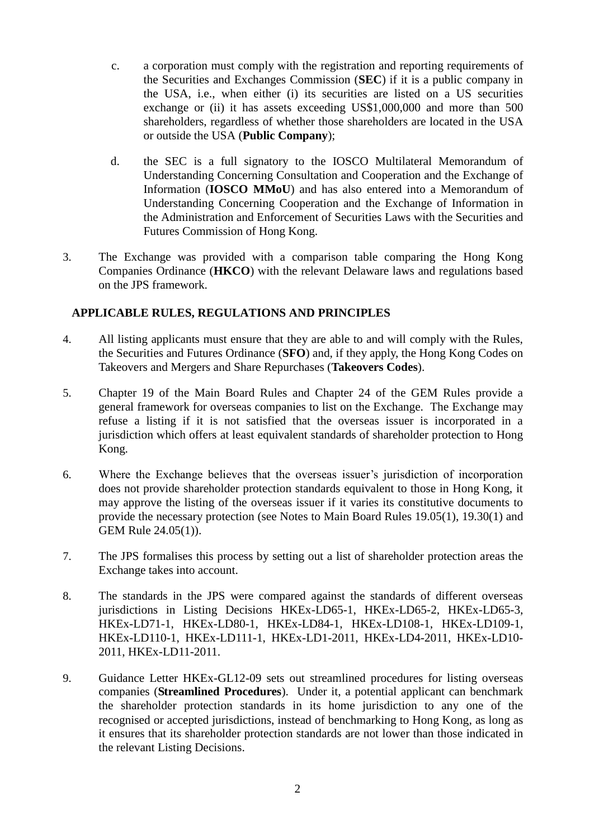- c. a corporation must comply with the registration and reporting requirements of the Securities and Exchanges Commission (**SEC**) if it is a public company in the USA, i.e., when either (i) its securities are listed on a US securities exchange or (ii) it has assets exceeding US\$1,000,000 and more than 500 shareholders, regardless of whether those shareholders are located in the USA or outside the USA (**Public Company**);
- d. the SEC is a full signatory to the IOSCO Multilateral Memorandum of Understanding Concerning Consultation and Cooperation and the Exchange of Information (**IOSCO MMoU**) and has also entered into a Memorandum of Understanding Concerning Cooperation and the Exchange of Information in the Administration and Enforcement of Securities Laws with the Securities and Futures Commission of Hong Kong.
- 3. The Exchange was provided with a comparison table comparing the Hong Kong Companies Ordinance (**HKCO**) with the relevant Delaware laws and regulations based on the JPS framework.

# **APPLICABLE RULES, REGULATIONS AND PRINCIPLES**

- 4. All listing applicants must ensure that they are able to and will comply with the Rules, the Securities and Futures Ordinance (**SFO**) and, if they apply, the Hong Kong Codes on Takeovers and Mergers and Share Repurchases (**Takeovers Codes**).
- 5. Chapter 19 of the Main Board Rules and Chapter 24 of the GEM Rules provide a general framework for overseas companies to list on the Exchange. The Exchange may refuse a listing if it is not satisfied that the overseas issuer is incorporated in a jurisdiction which offers at least equivalent standards of shareholder protection to Hong Kong.
- 6. Where the Exchange believes that the overseas issuer's jurisdiction of incorporation does not provide shareholder protection standards equivalent to those in Hong Kong, it may approve the listing of the overseas issuer if it varies its constitutive documents to provide the necessary protection (see Notes to Main Board Rules 19.05(1), 19.30(1) and GEM Rule 24.05(1)).
- 7. The JPS formalises this process by setting out a list of shareholder protection areas the Exchange takes into account.
- 8. The standards in the JPS were compared against the standards of different overseas jurisdictions in Listing Decisions HKEx-LD65-1, HKEx-LD65-2, HKEx-LD65-3, HKEx-LD71-1, HKEx-LD80-1, HKEx-LD84-1, HKEx-LD108-1, HKEx-LD109-1, HKEx-LD110-1, HKEx-LD111-1, HKEx-LD1-2011, HKEx-LD4-2011, HKEx-LD10- 2011, HKEx-LD11-2011.
- 9. Guidance Letter HKEx-GL12-09 sets out streamlined procedures for listing overseas companies (**Streamlined Procedures**). Under it, a potential applicant can benchmark the shareholder protection standards in its home jurisdiction to any one of the recognised or accepted jurisdictions, instead of benchmarking to Hong Kong, as long as it ensures that its shareholder protection standards are not lower than those indicated in the relevant Listing Decisions.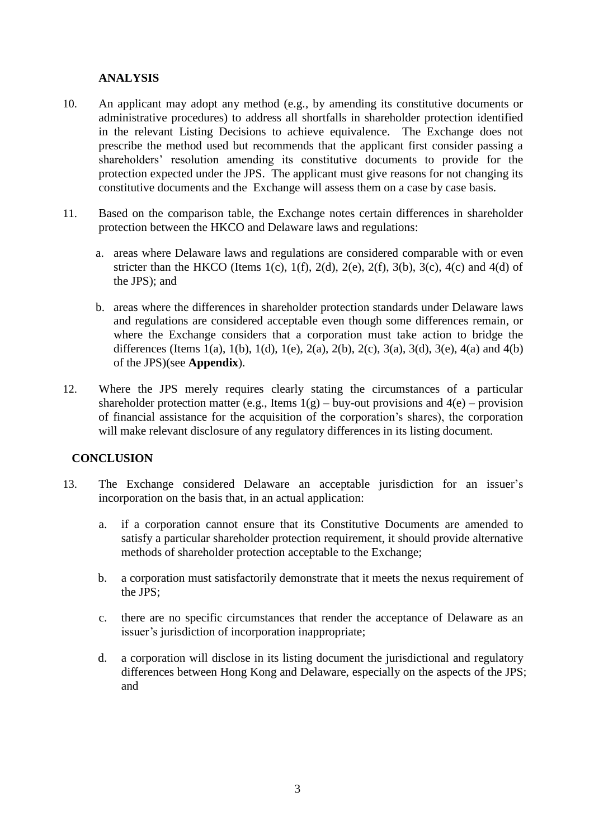## **ANALYSIS**

- 10. An applicant may adopt any method (e.g., by amending its constitutive documents or administrative procedures) to address all shortfalls in shareholder protection identified in the relevant Listing Decisions to achieve equivalence. The Exchange does not prescribe the method used but recommends that the applicant first consider passing a shareholders' resolution amending its constitutive documents to provide for the protection expected under the JPS. The applicant must give reasons for not changing its constitutive documents and the Exchange will assess them on a case by case basis.
- 11. Based on the comparison table, the Exchange notes certain differences in shareholder protection between the HKCO and Delaware laws and regulations:
	- a. areas where Delaware laws and regulations are considered comparable with or even stricter than the HKCO (Items 1(c), 1(f), 2(d), 2(e), 2(f), 3(b), 3(c), 4(c) and 4(d) of the JPS); and
	- b. areas where the differences in shareholder protection standards under Delaware laws and regulations are considered acceptable even though some differences remain, or where the Exchange considers that a corporation must take action to bridge the differences (Items 1(a), 1(b), 1(d), 1(e), 2(a), 2(b), 2(c), 3(a), 3(d), 3(e), 4(a) and 4(b) of the JPS)(see **Appendix**).
- 12. Where the JPS merely requires clearly stating the circumstances of a particular shareholder protection matter (e.g., Items  $1(g)$  – buy-out provisions and  $4(e)$  – provision of financial assistance for the acquisition of the corporation's shares), the corporation will make relevant disclosure of any regulatory differences in its listing document.

#### **CONCLUSION**

- 13. The Exchange considered Delaware an acceptable jurisdiction for an issuer's incorporation on the basis that, in an actual application:
	- a. if a corporation cannot ensure that its Constitutive Documents are amended to satisfy a particular shareholder protection requirement, it should provide alternative methods of shareholder protection acceptable to the Exchange;
	- b. a corporation must satisfactorily demonstrate that it meets the nexus requirement of the JPS;
	- c. there are no specific circumstances that render the acceptance of Delaware as an issuer's jurisdiction of incorporation inappropriate;
	- d. a corporation will disclose in its listing document the jurisdictional and regulatory differences between Hong Kong and Delaware, especially on the aspects of the JPS; and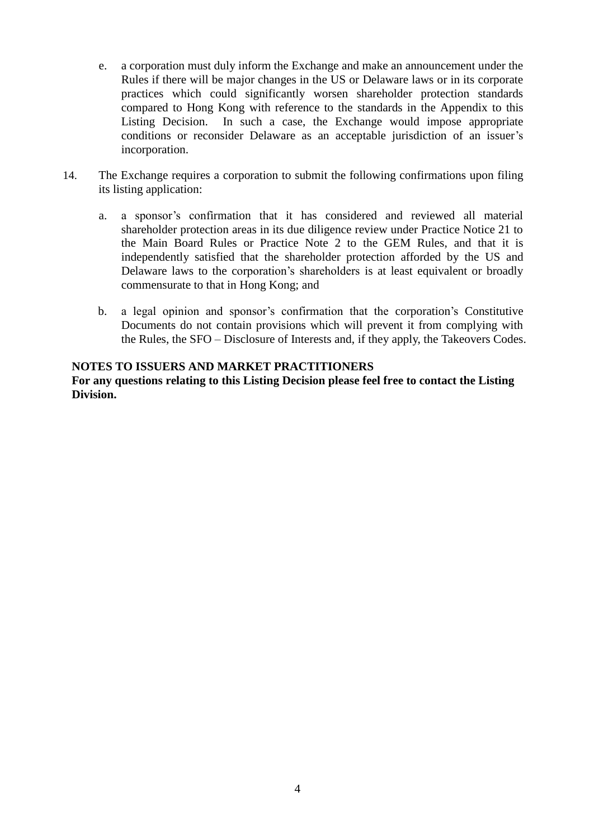- e. a corporation must duly inform the Exchange and make an announcement under the Rules if there will be major changes in the US or Delaware laws or in its corporate practices which could significantly worsen shareholder protection standards compared to Hong Kong with reference to the standards in the Appendix to this Listing Decision. In such a case, the Exchange would impose appropriate conditions or reconsider Delaware as an acceptable jurisdiction of an issuer's incorporation.
- 14. The Exchange requires a corporation to submit the following confirmations upon filing its listing application:
	- a. a sponsor's confirmation that it has considered and reviewed all material shareholder protection areas in its due diligence review under Practice Notice 21 to the Main Board Rules or Practice Note 2 to the GEM Rules, and that it is independently satisfied that the shareholder protection afforded by the US and Delaware laws to the corporation's shareholders is at least equivalent or broadly commensurate to that in Hong Kong; and
	- b. a legal opinion and sponsor's confirmation that the corporation's Constitutive Documents do not contain provisions which will prevent it from complying with the Rules, the SFO – Disclosure of Interests and, if they apply, the Takeovers Codes.

## **NOTES TO ISSUERS AND MARKET PRACTITIONERS**

**For any questions relating to this Listing Decision please feel free to contact the Listing Division.**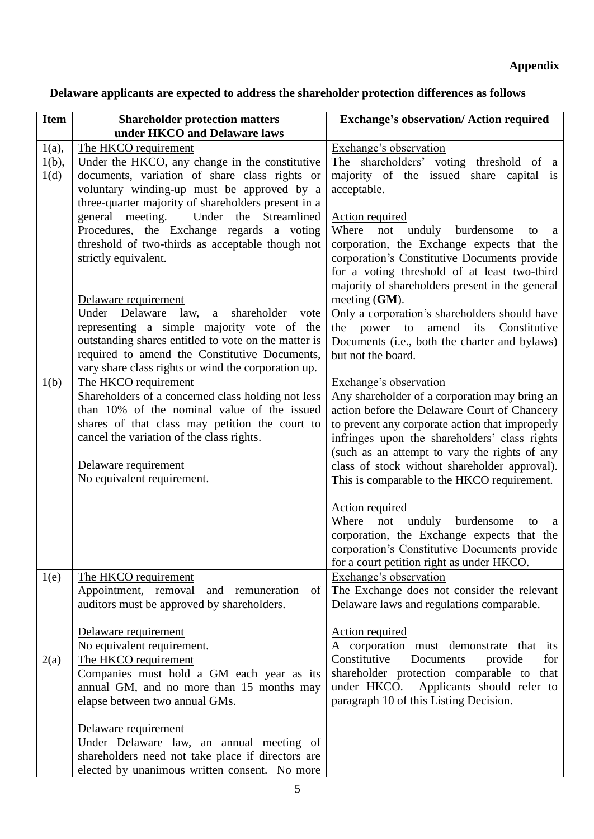# **Delaware applicants are expected to address the shareholder protection differences as follows**

| <b>Item</b>                  | <b>Shareholder protection matters</b><br>under HKCO and Delaware laws                                                                                                                                                                                                                    | <b>Exchange's observation/ Action required</b>                                                                                                                                                                                                                                                                                                                               |
|------------------------------|------------------------------------------------------------------------------------------------------------------------------------------------------------------------------------------------------------------------------------------------------------------------------------------|------------------------------------------------------------------------------------------------------------------------------------------------------------------------------------------------------------------------------------------------------------------------------------------------------------------------------------------------------------------------------|
| $1(a)$ ,<br>$1(b)$ ,<br>1(d) | The HKCO requirement<br>Under the HKCO, any change in the constitutive<br>documents, variation of share class rights or<br>voluntary winding-up must be approved by a                                                                                                                    | Exchange's observation<br>The shareholders' voting threshold of a<br>majority of the issued share capital is<br>acceptable.                                                                                                                                                                                                                                                  |
|                              | three-quarter majority of shareholders present in a<br>general meeting.<br>Under<br>the Streamlined<br>Procedures, the Exchange regards a voting<br>threshold of two-thirds as acceptable though not<br>strictly equivalent.                                                             | <b>Action required</b><br>Where<br>not<br>unduly burdensome<br>to<br>a<br>corporation, the Exchange expects that the<br>corporation's Constitutive Documents provide<br>for a voting threshold of at least two-third<br>majority of shareholders present in the general                                                                                                      |
|                              | Delaware requirement<br>Under Delaware<br>law,<br>shareholder<br>a<br>vote<br>representing a simple majority vote of the<br>outstanding shares entitled to vote on the matter is<br>required to amend the Constitutive Documents,<br>vary share class rights or wind the corporation up. | meeting $(GM)$ .<br>Only a corporation's shareholders should have<br>the power to amend its Constitutive<br>Documents (i.e., both the charter and bylaws)<br>but not the board.                                                                                                                                                                                              |
| 1(b)                         | The HKCO requirement<br>Shareholders of a concerned class holding not less<br>than 10% of the nominal value of the issued<br>shares of that class may petition the court to<br>cancel the variation of the class rights.<br>Delaware requirement<br>No equivalent requirement.           | Exchange's observation<br>Any shareholder of a corporation may bring an<br>action before the Delaware Court of Chancery<br>to prevent any corporate action that improperly<br>infringes upon the shareholders' class rights<br>(such as an attempt to vary the rights of any<br>class of stock without shareholder approval).<br>This is comparable to the HKCO requirement. |
|                              |                                                                                                                                                                                                                                                                                          | <b>Action required</b><br>Where<br>unduly burdensome<br>not<br>to<br>a<br>corporation, the Exchange expects that the<br>corporation's Constitutive Documents provide<br>for a court petition right as under HKCO.                                                                                                                                                            |
| 1(e)                         | The HKCO requirement<br>Appointment, removal and remuneration<br>of<br>auditors must be approved by shareholders.                                                                                                                                                                        | Exchange's observation<br>The Exchange does not consider the relevant<br>Delaware laws and regulations comparable.                                                                                                                                                                                                                                                           |
|                              | Delaware requirement<br>No equivalent requirement.                                                                                                                                                                                                                                       | <b>Action required</b><br>A corporation must demonstrate that its                                                                                                                                                                                                                                                                                                            |
| 2(a)                         | The HKCO requirement<br>Companies must hold a GM each year as its<br>annual GM, and no more than 15 months may<br>elapse between two annual GMs.                                                                                                                                         | Constitutive<br>Documents<br>provide<br>for<br>shareholder protection comparable to that<br>under HKCO.<br>Applicants should refer to<br>paragraph 10 of this Listing Decision.                                                                                                                                                                                              |
|                              | Delaware requirement<br>Under Delaware law, an annual meeting of<br>shareholders need not take place if directors are<br>elected by unanimous written consent. No more                                                                                                                   |                                                                                                                                                                                                                                                                                                                                                                              |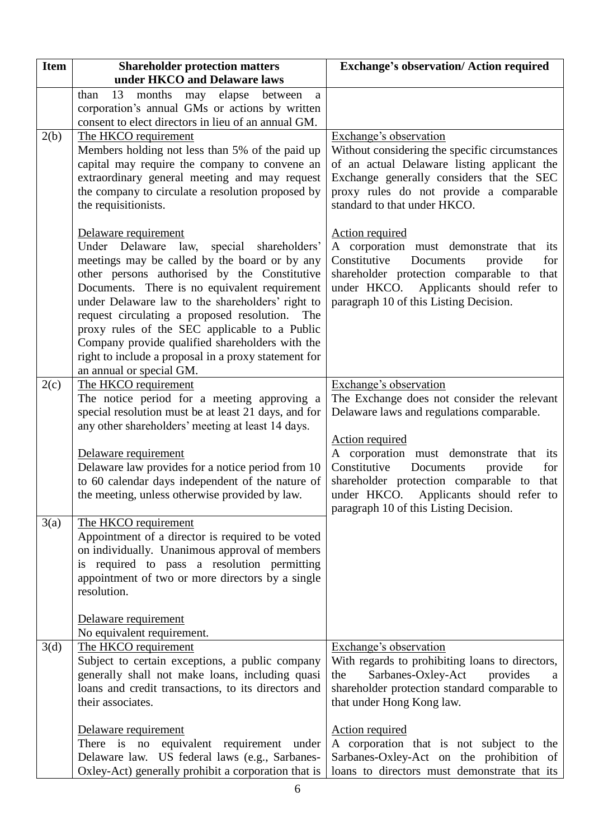| <b>Item</b> | <b>Shareholder protection matters</b><br>under HKCO and Delaware laws                                                                                                                                                                                                                                                                                                                                                                                                                                                | <b>Exchange's observation/ Action required</b>                                                                                                                                                                                                       |
|-------------|----------------------------------------------------------------------------------------------------------------------------------------------------------------------------------------------------------------------------------------------------------------------------------------------------------------------------------------------------------------------------------------------------------------------------------------------------------------------------------------------------------------------|------------------------------------------------------------------------------------------------------------------------------------------------------------------------------------------------------------------------------------------------------|
|             | 13<br>elapse<br>than<br>months<br>between<br>may<br>a                                                                                                                                                                                                                                                                                                                                                                                                                                                                |                                                                                                                                                                                                                                                      |
|             | corporation's annual GMs or actions by written                                                                                                                                                                                                                                                                                                                                                                                                                                                                       |                                                                                                                                                                                                                                                      |
|             | consent to elect directors in lieu of an annual GM.                                                                                                                                                                                                                                                                                                                                                                                                                                                                  |                                                                                                                                                                                                                                                      |
| 2(b)        | The HKCO requirement<br>Members holding not less than 5% of the paid up<br>capital may require the company to convene an<br>extraordinary general meeting and may request<br>the company to circulate a resolution proposed by<br>the requisitionists.                                                                                                                                                                                                                                                               | Exchange's observation<br>Without considering the specific circumstances<br>of an actual Delaware listing applicant the<br>Exchange generally considers that the SEC<br>proxy rules do not provide a comparable<br>standard to that under HKCO.      |
|             | Delaware requirement<br>Under Delaware law, special shareholders'<br>meetings may be called by the board or by any<br>other persons authorised by the Constitutive<br>Documents. There is no equivalent requirement<br>under Delaware law to the shareholders' right to<br>request circulating a proposed resolution.<br>The<br>proxy rules of the SEC applicable to a Public<br>Company provide qualified shareholders with the<br>right to include a proposal in a proxy statement for<br>an annual or special GM. | <b>Action required</b><br>A corporation must demonstrate that its<br>Constitutive<br>Documents<br>for<br>provide<br>shareholder protection comparable to that<br>under HKCO. Applicants should refer to<br>paragraph 10 of this Listing Decision.    |
| 2(c)        | The HKCO requirement                                                                                                                                                                                                                                                                                                                                                                                                                                                                                                 | Exchange's observation                                                                                                                                                                                                                               |
|             | The notice period for a meeting approving a<br>special resolution must be at least 21 days, and for<br>any other shareholders' meeting at least 14 days.                                                                                                                                                                                                                                                                                                                                                             | The Exchange does not consider the relevant<br>Delaware laws and regulations comparable.                                                                                                                                                             |
|             | Delaware requirement<br>Delaware law provides for a notice period from 10<br>to 60 calendar days independent of the nature of<br>the meeting, unless otherwise provided by law.                                                                                                                                                                                                                                                                                                                                      | <b>Action required</b><br>A corporation must demonstrate that its<br>Constitutive<br>Documents<br>for<br>provide<br>shareholder protection comparable to that<br>under HKCO.<br>Applicants should refer to<br>paragraph 10 of this Listing Decision. |
| 3(a)        | The HKCO requirement                                                                                                                                                                                                                                                                                                                                                                                                                                                                                                 |                                                                                                                                                                                                                                                      |
|             | Appointment of a director is required to be voted<br>on individually. Unanimous approval of members<br>is required to pass a resolution permitting<br>appointment of two or more directors by a single<br>resolution.                                                                                                                                                                                                                                                                                                |                                                                                                                                                                                                                                                      |
|             | Delaware requirement                                                                                                                                                                                                                                                                                                                                                                                                                                                                                                 |                                                                                                                                                                                                                                                      |
| 3(d)        | No equivalent requirement.<br>The HKCO requirement                                                                                                                                                                                                                                                                                                                                                                                                                                                                   | Exchange's observation                                                                                                                                                                                                                               |
|             | Subject to certain exceptions, a public company<br>generally shall not make loans, including quasi<br>loans and credit transactions, to its directors and<br>their associates.                                                                                                                                                                                                                                                                                                                                       | With regards to prohibiting loans to directors,<br>Sarbanes-Oxley-Act<br>the<br>provides<br>a<br>shareholder protection standard comparable to<br>that under Hong Kong law.                                                                          |
|             | Delaware requirement<br>There is<br>equivalent requirement under<br>no<br>Delaware law. US federal laws (e.g., Sarbanes-<br>Oxley-Act) generally prohibit a corporation that is                                                                                                                                                                                                                                                                                                                                      | <b>Action required</b><br>A corporation that is not subject to the<br>Sarbanes-Oxley-Act on the prohibition of<br>loans to directors must demonstrate that its                                                                                       |